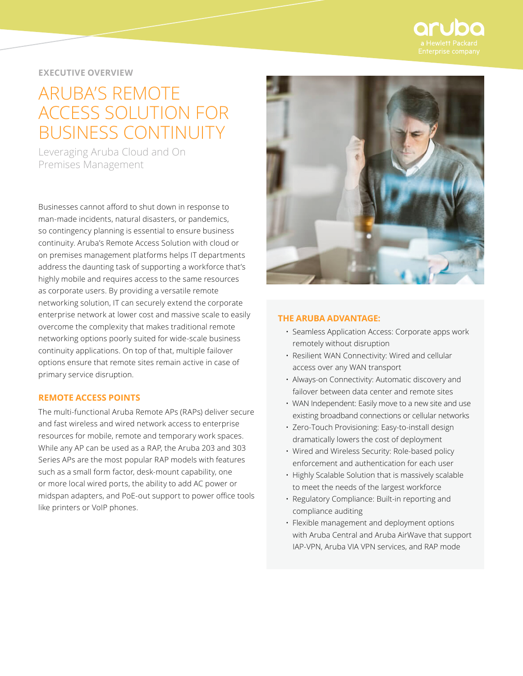

**EXECUTIVE OVERVIEW**

# ARUBA'S REMOTE ACCESS SOLUTION FOR BUSINESS CONTINUITY

Leveraging Aruba Cloud and On Premises Management

Businesses cannot afford to shut down in response to man-made incidents, natural disasters, or pandemics, so contingency planning is essential to ensure business continuity. Aruba's Remote Access Solution with cloud or on premises management platforms helps IT departments address the daunting task of supporting a workforce that's highly mobile and requires access to the same resources as corporate users. By providing a versatile remote networking solution, IT can securely extend the corporate enterprise network at lower cost and massive scale to easily overcome the complexity that makes traditional remote networking options poorly suited for wide-scale business continuity applications. On top of that, multiple failover options ensure that remote sites remain active in case of primary service disruption.

## **REMOTE ACCESS POINTS**

The multi-functional Aruba Remote APs (RAPs) deliver secure and fast wireless and wired network access to enterprise resources for mobile, remote and temporary work spaces. While any AP can be used as a RAP, the Aruba 203 and 303 Series APs are the most popular RAP models with features such as a small form factor, desk-mount capability, one or more local wired ports, the ability to add AC power or midspan adapters, and PoE-out support to power office tools like printers or VoIP phones.



## **THE ARUBA ADVANTAGE:**

- Seamless Application Access: Corporate apps work remotely without disruption
- Resilient WAN Connectivity: Wired and cellular access over any WAN transport
- Always-on Connectivity: Automatic discovery and failover between data center and remote sites
- WAN Independent: Easily move to a new site and use existing broadband connections or cellular networks
- Zero-Touch Provisioning: Easy-to-install design dramatically lowers the cost of deployment
- Wired and Wireless Security: Role-based policy enforcement and authentication for each user
- Highly Scalable Solution that is massively scalable to meet the needs of the largest workforce
- Regulatory Compliance: Built-in reporting and compliance auditing
- Flexible management and deployment options with Aruba Central and Aruba AirWave that support IAP-VPN, Aruba VIA VPN services, and RAP mode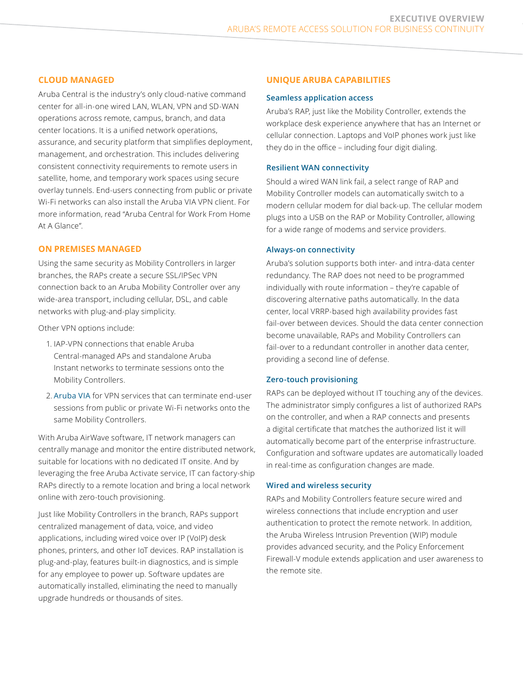# **CLOUD MANAGED**

Aruba Central is the industry's only cloud-native command center for all-in-one wired LAN, WLAN, VPN and SD-WAN operations across remote, campus, branch, and data center locations. It is a unified network operations, assurance, and security platform that simplifies deployment, management, and orchestration. This includes delivering consistent connectivity requirements to remote users in satellite, home, and temporary work spaces using secure overlay tunnels. End-users connecting from public or private Wi-Fi networks can also install the Aruba VIA VPN client. For more information, read "Aruba Central for Work From Home At A Glance".

## **ON PREMISES MANAGED**

Using the same security as Mobility Controllers in larger branches, the RAPs create a secure SSL/IPSec VPN connection back to an Aruba Mobility Controller over any wide-area transport, including cellular, DSL, and cable networks with plug-and-play simplicity.

Other VPN options include:

- 1. IAP-VPN connections that enable Aruba Central-managed APs and standalone Aruba Instant networks to terminate sessions onto the Mobility Controllers.
- 2. [Aruba VIA](https://www.arubanetworks.com/products/security/vpn-services/) for VPN services that can terminate end-user sessions from public or private Wi-Fi networks onto the same Mobility Controllers.

With Aruba AirWave software, IT network managers can centrally manage and monitor the entire distributed network, suitable for locations with no dedicated IT onsite. And by leveraging the free Aruba Activate service, IT can factory-ship RAPs directly to a remote location and bring a local network online with zero-touch provisioning.

Just like Mobility Controllers in the branch, RAPs support centralized management of data, voice, and video applications, including wired voice over IP (VoIP) desk phones, printers, and other IoT devices. RAP installation is plug-and-play, features built-in diagnostics, and is simple for any employee to power up. Software updates are automatically installed, eliminating the need to manually upgrade hundreds or thousands of sites.

## **UNIQUE ARUBA CAPABILITIES**

## **Seamless application access**

Aruba's RAP, just like the Mobility Controller, extends the workplace desk experience anywhere that has an Internet or cellular connection. Laptops and VoIP phones work just like they do in the office – including four digit dialing.

## **Resilient WAN connectivity**

Should a wired WAN link fail, a select range of RAP and Mobility Controller models can automatically switch to a modern cellular modem for dial back-up. The cellular modem plugs into a USB on the RAP or Mobility Controller, allowing for a wide range of modems and service providers.

#### **Always-on connectivity**

Aruba's solution supports both inter- and intra-data center redundancy. The RAP does not need to be programmed individually with route information – they're capable of discovering alternative paths automatically. In the data center, local VRRP-based high availability provides fast fail-over between devices. Should the data center connection become unavailable, RAPs and Mobility Controllers can fail-over to a redundant controller in another data center, providing a second line of defense.

## **Zero-touch provisioning**

RAPs can be deployed without IT touching any of the devices. The administrator simply configures a list of authorized RAPs on the controller, and when a RAP connects and presents a digital certificate that matches the authorized list it will automatically become part of the enterprise infrastructure. Configuration and software updates are automatically loaded in real-time as configuration changes are made.

#### **Wired and wireless security**

RAPs and Mobility Controllers feature secure wired and wireless connections that include encryption and user authentication to protect the remote network. In addition, the Aruba Wireless Intrusion Prevention (WIP) module provides advanced security, and the Policy Enforcement Firewall-V module extends application and user awareness to the remote site.